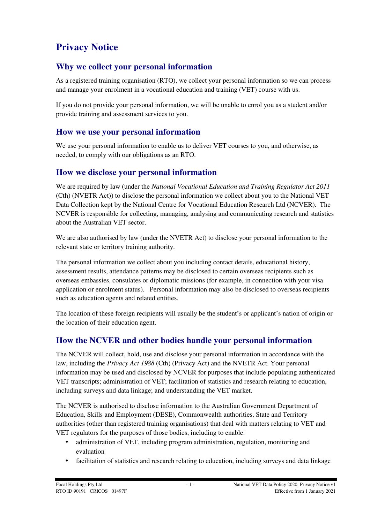# **Privacy Notice**

# **Why we collect your personal information**

As a registered training organisation (RTO), we collect your personal information so we can process and manage your enrolment in a vocational education and training (VET) course with us.

If you do not provide your personal information, we will be unable to enrol you as a student and/or provide training and assessment services to you.

### **How we use your personal information**

We use your personal information to enable us to deliver VET courses to you, and otherwise, as needed, to comply with our obligations as an RTO.

### **How we disclose your personal information**

We are required by law (under the *National Vocational Education and Training Regulator Act 2011*  (Cth) (NVETR Act)) to disclose the personal information we collect about you to the National VET Data Collection kept by the National Centre for Vocational Education Research Ltd (NCVER). The NCVER is responsible for collecting, managing, analysing and communicating research and statistics about the Australian VET sector.

We are also authorised by law (under the NVETR Act) to disclose your personal information to the relevant state or territory training authority.

The personal information we collect about you including contact details, educational history, assessment results, attendance patterns may be disclosed to certain overseas recipients such as overseas embassies, consulates or diplomatic missions (for example, in connection with your visa application or enrolment status). Personal information may also be disclosed to overseas recipients such as education agents and related entities.

The location of these foreign recipients will usually be the student's or applicant's nation of origin or the location of their education agent.

## **How the NCVER and other bodies handle your personal information**

The NCVER will collect, hold, use and disclose your personal information in accordance with the law, including the *Privacy Act 1988* (Cth) (Privacy Act) and the NVETR Act. Your personal information may be used and disclosed by NCVER for purposes that include populating authenticated VET transcripts; administration of VET; facilitation of statistics and research relating to education, including surveys and data linkage; and understanding the VET market.

The NCVER is authorised to disclose information to the Australian Government Department of Education, Skills and Employment (DESE), Commonwealth authorities, State and Territory authorities (other than registered training organisations) that deal with matters relating to VET and VET regulators for the purposes of those bodies, including to enable:

- administration of VET, including program administration, regulation, monitoring and evaluation
- facilitation of statistics and research relating to education, including surveys and data linkage